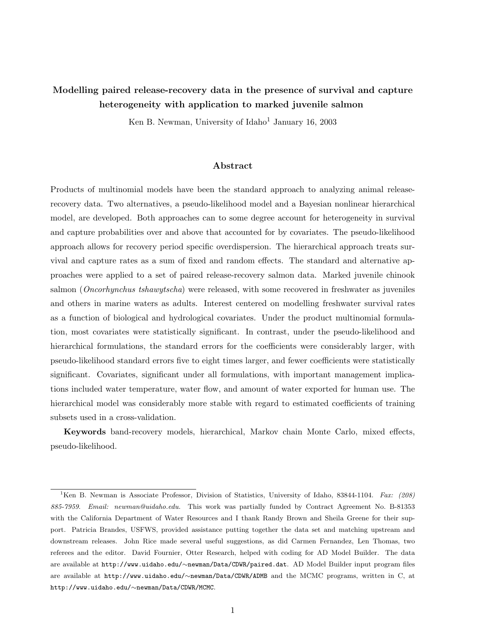# Modelling paired release-recovery data in the presence of survival and capture heterogeneity with application to marked juvenile salmon

Ken B. Newman, University of Idaho<sup>1</sup> January 16, 2003

### Abstract

Products of multinomial models have been the standard approach to analyzing animal releaserecovery data. Two alternatives, a pseudo-likelihood model and a Bayesian nonlinear hierarchical model, are developed. Both approaches can to some degree account for heterogeneity in survival and capture probabilities over and above that accounted for by covariates. The pseudo-likelihood approach allows for recovery period specific overdispersion. The hierarchical approach treats survival and capture rates as a sum of fixed and random effects. The standard and alternative approaches were applied to a set of paired release-recovery salmon data. Marked juvenile chinook salmon (*Oncorhynchus tshawytscha*) were released, with some recovered in freshwater as juveniles and others in marine waters as adults. Interest centered on modelling freshwater survival rates as a function of biological and hydrological covariates. Under the product multinomial formulation, most covariates were statistically significant. In contrast, under the pseudo-likelihood and hierarchical formulations, the standard errors for the coefficients were considerably larger, with pseudo-likelihood standard errors five to eight times larger, and fewer coefficients were statistically significant. Covariates, significant under all formulations, with important management implications included water temperature, water flow, and amount of water exported for human use. The hierarchical model was considerably more stable with regard to estimated coefficients of training subsets used in a cross-validation.

Keywords band-recovery models, hierarchical, Markov chain Monte Carlo, mixed effects, pseudo-likelihood.

<sup>&</sup>lt;sup>1</sup>Ken B. Newman is Associate Professor, Division of Statistics, University of Idaho, 83844-1104. Fax: (208) 885-7959. Email: newman@uidaho.edu. This work was partially funded by Contract Agreement No. B-81353 with the California Department of Water Resources and I thank Randy Brown and Sheila Greene for their support. Patricia Brandes, USFWS, provided assistance putting together the data set and matching upstream and downstream releases. John Rice made several useful suggestions, as did Carmen Fernandez, Len Thomas, two referees and the editor. David Fournier, Otter Research, helped with coding for AD Model Builder. The data are available at http://www.uidaho.edu/∼newman/Data/CDWR/paired.dat. AD Model Builder input program files are available at http://www.uidaho.edu/∼newman/Data/CDWR/ADMB and the MCMC programs, written in C, at http://www.uidaho.edu/∼newman/Data/CDWR/MCMC.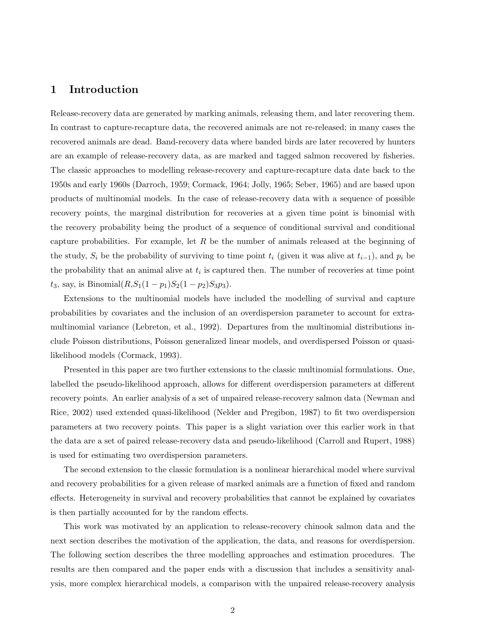## 1 Introduction

Release-recovery data are generated by marking animals, releasing them, and later recovering them. In contrast to capture-recapture data, the recovered animals are not re-released; in many cases the recovered animals are dead. Band-recovery data where banded birds are later recovered by hunters are an example of release-recovery data, as are marked and tagged salmon recovered by fisheries. The classic approaches to modelling release-recovery and capture-recapture data date back to the 1950s and early 1960s (Darroch, 1959; Cormack, 1964; Jolly, 1965; Seber, 1965) and are based upon products of multinomial models. In the case of release-recovery data with a sequence of possible recovery points, the marginal distribution for recoveries at a given time point is binomial with the recovery probability being the product of a sequence of conditional survival and conditional capture probabilities. For example, let R be the number of animals released at the beginning of the study,  $S_i$  be the probability of surviving to time point  $t_i$  (given it was alive at  $t_{i-1}$ ), and  $p_i$  be the probability that an animal alive at  $t_i$  is captured then. The number of recoveries at time point  $t_3$ , say, is Binomial $(R, S_1(1-p_1)S_2(1-p_2)S_3p_3)$ .

Extensions to the multinomial models have included the modelling of survival and capture probabilities by covariates and the inclusion of an overdispersion parameter to account for extramultinomial variance (Lebreton, et al., 1992). Departures from the multinomial distributions include Poisson distributions, Poisson generalized linear models, and overdispersed Poisson or quasilikelihood models (Cormack, 1993).

Presented in this paper are two further extensions to the classic multinomial formulations. One, labelled the pseudo-likelihood approach, allows for different overdispersion parameters at different recovery points. An earlier analysis of a set of unpaired release-recovery salmon data (Newman and Rice, 2002) used extended quasi-likelihood (Nelder and Pregibon, 1987) to fit two overdispersion parameters at two recovery points. This paper is a slight variation over this earlier work in that the data are a set of paired release-recovery data and pseudo-likelihood (Carroll and Rupert, 1988) is used for estimating two overdispersion parameters.

The second extension to the classic formulation is a nonlinear hierarchical model where survival and recovery probabilities for a given release of marked animals are a function of fixed and random effects. Heterogeneity in survival and recovery probabilities that cannot be explained by covariates is then partially accounted for by the random effects.

This work was motivated by an application to release-recovery chinook salmon data and the next section describes the motivation of the application, the data, and reasons for overdispersion. The following section describes the three modelling approaches and estimation procedures. The results are then compared and the paper ends with a discussion that includes a sensitivity analysis, more complex hierarchical models, a comparison with the unpaired release-recovery analysis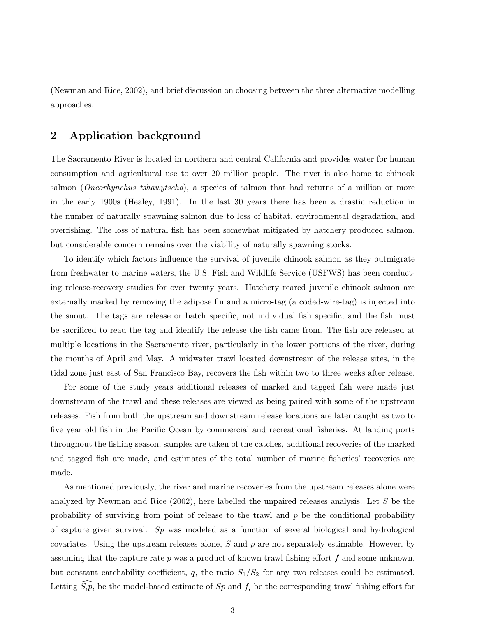(Newman and Rice, 2002), and brief discussion on choosing between the three alternative modelling approaches.

## 2 Application background

The Sacramento River is located in northern and central California and provides water for human consumption and agricultural use to over 20 million people. The river is also home to chinook salmon (*Oncorhynchus tshawytscha*), a species of salmon that had returns of a million or more in the early 1900s (Healey, 1991). In the last 30 years there has been a drastic reduction in the number of naturally spawning salmon due to loss of habitat, environmental degradation, and overfishing. The loss of natural fish has been somewhat mitigated by hatchery produced salmon, but considerable concern remains over the viability of naturally spawning stocks.

To identify which factors influence the survival of juvenile chinook salmon as they outmigrate from freshwater to marine waters, the U.S. Fish and Wildlife Service (USFWS) has been conducting release-recovery studies for over twenty years. Hatchery reared juvenile chinook salmon are externally marked by removing the adipose fin and a micro-tag (a coded-wire-tag) is injected into the snout. The tags are release or batch specific, not individual fish specific, and the fish must be sacrificed to read the tag and identify the release the fish came from. The fish are released at multiple locations in the Sacramento river, particularly in the lower portions of the river, during the months of April and May. A midwater trawl located downstream of the release sites, in the tidal zone just east of San Francisco Bay, recovers the fish within two to three weeks after release.

For some of the study years additional releases of marked and tagged fish were made just downstream of the trawl and these releases are viewed as being paired with some of the upstream releases. Fish from both the upstream and downstream release locations are later caught as two to five year old fish in the Pacific Ocean by commercial and recreational fisheries. At landing ports throughout the fishing season, samples are taken of the catches, additional recoveries of the marked and tagged fish are made, and estimates of the total number of marine fisheries' recoveries are made.

As mentioned previously, the river and marine recoveries from the upstream releases alone were analyzed by Newman and Rice  $(2002)$ , here labelled the unpaired releases analysis. Let S be the probability of surviving from point of release to the trawl and  $p$  be the conditional probability of capture given survival. Sp was modeled as a function of several biological and hydrological covariates. Using the upstream releases alone,  $S$  and  $p$  are not separately estimable. However, by assuming that the capture rate  $p$  was a product of known trawl fishing effort  $f$  and some unknown, but constant catchability coefficient,  $q$ , the ratio  $S_1/S_2$  for any two releases could be estimated. Letting  $\widehat{S_i p_i}$  be the model-based estimate of Sp and  $f_i$  be the corresponding trawl fishing effort for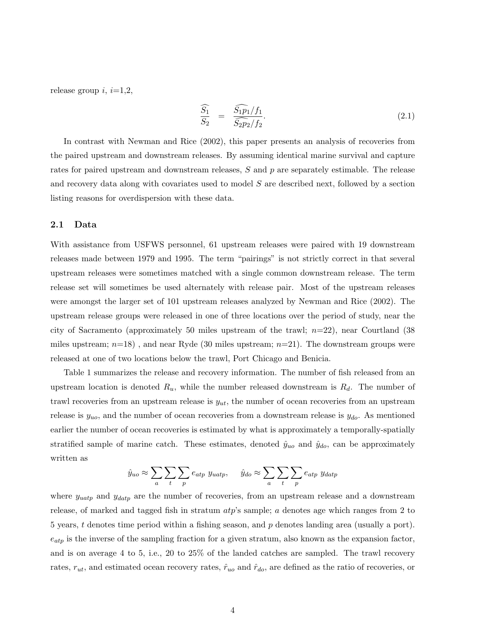release group  $i, i=1,2,$ 

$$
\frac{\widehat{S_1}}{S_2} = \frac{\widehat{S_1 p_1} / f_1}{\widehat{S_2 p_2} / f_2}.
$$
\n(2.1)

In contrast with Newman and Rice (2002), this paper presents an analysis of recoveries from the paired upstream and downstream releases. By assuming identical marine survival and capture rates for paired upstream and downstream releases, S and p are separately estimable. The release and recovery data along with covariates used to model S are described next, followed by a section listing reasons for overdispersion with these data.

### 2.1 Data

With assistance from USFWS personnel, 61 upstream releases were paired with 19 downstream releases made between 1979 and 1995. The term "pairings" is not strictly correct in that several upstream releases were sometimes matched with a single common downstream release. The term release set will sometimes be used alternately with release pair. Most of the upstream releases were amongst the larger set of 101 upstream releases analyzed by Newman and Rice (2002). The upstream release groups were released in one of three locations over the period of study, near the city of Sacramento (approximately 50 miles upstream of the trawl;  $n=22$ ), near Courtland (38 miles upstream;  $n=18$ ), and near Ryde (30 miles upstream;  $n=21$ ). The downstream groups were released at one of two locations below the trawl, Port Chicago and Benicia.

Table 1 summarizes the release and recovery information. The number of fish released from an upstream location is denoted  $R_u$ , while the number released downstream is  $R_d$ . The number of trawl recoveries from an upstream release is  $y_{ut}$ , the number of ocean recoveries from an upstream release is  $y_{uo}$ , and the number of ocean recoveries from a downstream release is  $y_{do}$ . As mentioned earlier the number of ocean recoveries is estimated by what is approximately a temporally-spatially stratified sample of marine catch. These estimates, denoted  $\hat{y}_{uo}$  and  $\hat{y}_{do}$ , can be approximately written as

$$
\hat{y}_{uo} \approx \sum_{a} \sum_{t} \sum_{p} e_{atp} y_{uatp}, \quad \hat{y}_{do} \approx \sum_{a} \sum_{t} \sum_{p} e_{atp} y_{datp}
$$

where  $y_{uatp}$  and  $y_{datp}$  are the number of recoveries, from an upstream release and a downstream release, of marked and tagged fish in stratum  $atp$ 's sample; a denotes age which ranges from 2 to 5 years, t denotes time period within a fishing season, and  $p$  denotes landing area (usually a port).  $e_{atp}$  is the inverse of the sampling fraction for a given stratum, also known as the expansion factor, and is on average 4 to 5, i.e., 20 to 25% of the landed catches are sampled. The trawl recovery rates,  $r_{ut}$ , and estimated ocean recovery rates,  $\hat{r}_{uo}$  and  $\hat{r}_{do}$ , are defined as the ratio of recoveries, or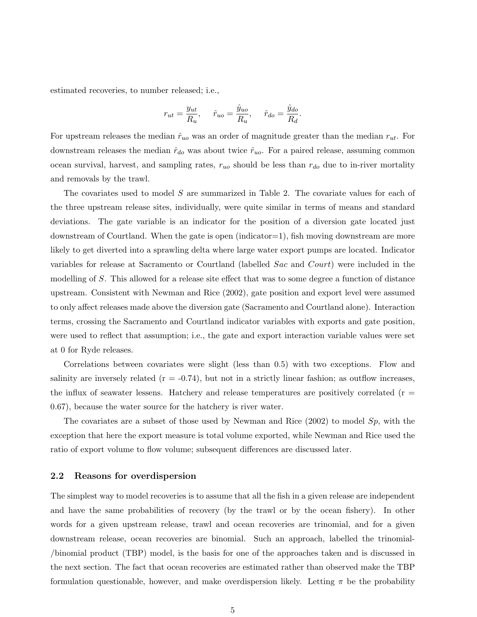estimated recoveries, to number released; i.e.,

$$
r_{ut} = \frac{y_{ut}}{R_u}, \quad \hat{r}_{uo} = \frac{\hat{y}_{uo}}{R_u}, \quad \hat{r}_{do} = \frac{\hat{y}_{do}}{R_d}.
$$

For upstream releases the median  $\hat{r}_{uo}$  was an order of magnitude greater than the median  $r_{ut}$ . For downstream releases the median  $\hat{r}_{do}$  was about twice  $\hat{r}_{uo}$ . For a paired release, assuming common ocean survival, harvest, and sampling rates,  $r_{uo}$  should be less than  $r_{do}$  due to in-river mortality and removals by the trawl.

The covariates used to model S are summarized in Table 2. The covariate values for each of the three upstream release sites, individually, were quite similar in terms of means and standard deviations. The gate variable is an indicator for the position of a diversion gate located just downstream of Courtland. When the gate is open (indicator=1), fish moving downstream are more likely to get diverted into a sprawling delta where large water export pumps are located. Indicator variables for release at Sacramento or Courtland (labelled Sac and Court) were included in the modelling of S. This allowed for a release site effect that was to some degree a function of distance upstream. Consistent with Newman and Rice (2002), gate position and export level were assumed to only affect releases made above the diversion gate (Sacramento and Courtland alone). Interaction terms, crossing the Sacramento and Courtland indicator variables with exports and gate position, were used to reflect that assumption; i.e., the gate and export interaction variable values were set at 0 for Ryde releases.

Correlations between covariates were slight (less than 0.5) with two exceptions. Flow and salinity are inversely related  $(r = -0.74)$ , but not in a strictly linear fashion; as outflow increases, the influx of seawater lessens. Hatchery and release temperatures are positively correlated  $(r =$ 0.67), because the water source for the hatchery is river water.

The covariates are a subset of those used by Newman and Rice  $(2002)$  to model  $Sp$ , with the exception that here the export measure is total volume exported, while Newman and Rice used the ratio of export volume to flow volume; subsequent differences are discussed later.

### 2.2 Reasons for overdispersion

The simplest way to model recoveries is to assume that all the fish in a given release are independent and have the same probabilities of recovery (by the trawl or by the ocean fishery). In other words for a given upstream release, trawl and ocean recoveries are trinomial, and for a given downstream release, ocean recoveries are binomial. Such an approach, labelled the trinomial- /binomial product (TBP) model, is the basis for one of the approaches taken and is discussed in the next section. The fact that ocean recoveries are estimated rather than observed make the TBP formulation questionable, however, and make overdispersion likely. Letting  $\pi$  be the probability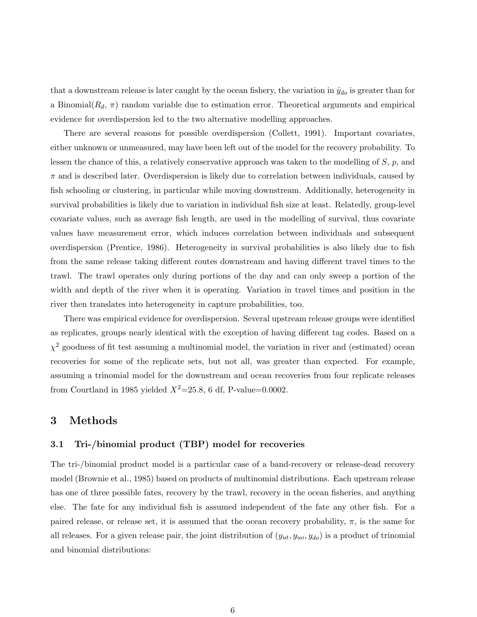that a downstream release is later caught by the ocean fishery, the variation in  $\hat{y}_{do}$  is greater than for a Binomial $(R_d, \pi)$  random variable due to estimation error. Theoretical arguments and empirical evidence for overdispersion led to the two alternative modelling approaches.

There are several reasons for possible overdispersion (Collett, 1991). Important covariates, either unknown or unmeasured, may have been left out of the model for the recovery probability. To lessen the chance of this, a relatively conservative approach was taken to the modelling of  $S$ ,  $p$ , and  $\pi$  and is described later. Overdispersion is likely due to correlation between individuals, caused by fish schooling or clustering, in particular while moving downstream. Additionally, heterogeneity in survival probabilities is likely due to variation in individual fish size at least. Relatedly, group-level covariate values, such as average fish length, are used in the modelling of survival, thus covariate values have measurement error, which induces correlation between individuals and subsequent overdispersion (Prentice, 1986). Heterogeneity in survival probabilities is also likely due to fish from the same release taking different routes downstream and having different travel times to the trawl. The trawl operates only during portions of the day and can only sweep a portion of the width and depth of the river when it is operating. Variation in travel times and position in the river then translates into heterogeneity in capture probabilities, too.

There was empirical evidence for overdispersion. Several upstream release groups were identified as replicates, groups nearly identical with the exception of having different tag codes. Based on a  $\chi^2$  goodness of fit test assuming a multinomial model, the variation in river and (estimated) ocean recoveries for some of the replicate sets, but not all, was greater than expected. For example, assuming a trinomial model for the downstream and ocean recoveries from four replicate releases from Courtland in 1985 yielded  $X^2$ =25.8, 6 df, P-value=0.0002.

## 3 Methods

### 3.1 Tri-/binomial product (TBP) model for recoveries

The tri-/binomial product model is a particular case of a band-recovery or release-dead recovery model (Brownie et al., 1985) based on products of multinomial distributions. Each upstream release has one of three possible fates, recovery by the trawl, recovery in the ocean fisheries, and anything else. The fate for any individual fish is assumed independent of the fate any other fish. For a paired release, or release set, it is assumed that the ocean recovery probability,  $\pi$ , is the same for all releases. For a given release pair, the joint distribution of  $(y_{ut}, y_{uo}, y_{do})$  is a product of trinomial and binomial distributions: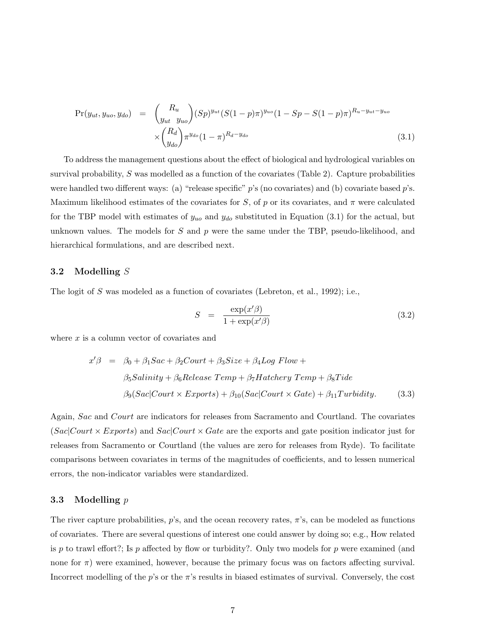$$
Pr(y_{ut}, y_{uo}, y_{do}) = {R_u \choose y_{ut} y_{uo}} (Sp)^{y_{ut}} (S(1-p)\pi)^{y_{uo}} (1 - Sp - S(1-p)\pi)^{R_u - y_{ut} - y_{uo}} \times {R_d \choose y_{do}} \pi^{y_{do}} (1 - \pi)^{R_d - y_{do}} \tag{3.1}
$$

To address the management questions about the effect of biological and hydrological variables on survival probability, S was modelled as a function of the covariates (Table 2). Capture probabilities were handled two different ways: (a) "release specific"  $p$ 's (no covariates) and (b) covariate based  $p$ 's. Maximum likelihood estimates of the covariates for S, of p or its covariates, and  $\pi$  were calculated for the TBP model with estimates of  $y_{uo}$  and  $y_{do}$  substituted in Equation (3.1) for the actual, but unknown values. The models for S and  $p$  were the same under the TBP, pseudo-likelihood, and hierarchical formulations, and are described next.

### 3.2 Modelling S

The logit of S was modeled as a function of covariates (Lebreton, et al., 1992); i.e.,

$$
S = \frac{\exp(x'\beta)}{1 + \exp(x'\beta)}\tag{3.2}
$$

where  $x$  is a column vector of covariates and

$$
x'\beta = \beta_0 + \beta_1 Sac + \beta_2 Court + \beta_3 Size + \beta_4 Log Flow +
$$
  

$$
\beta_5 Salinity + \beta_6 Release Temp + \beta_7 Hatchery Temp + \beta_8 Tide
$$
  

$$
\beta_9(Sac| Court \times Exports) + \beta_{10}(Sac| Court \times Gate) + \beta_{11} Turbidity.
$$
 (3.3)

Again, Sac and Court are indicators for releases from Sacramento and Courtland. The covariates  $(Sac| Court \times Express)$  and  $Sac| Court \times Gate$  are the exports and gate position indicator just for releases from Sacramento or Courtland (the values are zero for releases from Ryde). To facilitate comparisons between covariates in terms of the magnitudes of coefficients, and to lessen numerical errors, the non-indicator variables were standardized.

### 3.3 Modelling  $p$

The river capture probabilities,  $p$ 's, and the ocean recovery rates,  $\pi$ 's, can be modeled as functions of covariates. There are several questions of interest one could answer by doing so; e.g., How related is p to trawl effort?; Is p affected by flow or turbidity?. Only two models for p were examined (and none for  $\pi$ ) were examined, however, because the primary focus was on factors affecting survival. Incorrect modelling of the  $p$ 's or the  $\pi$ 's results in biased estimates of survival. Conversely, the cost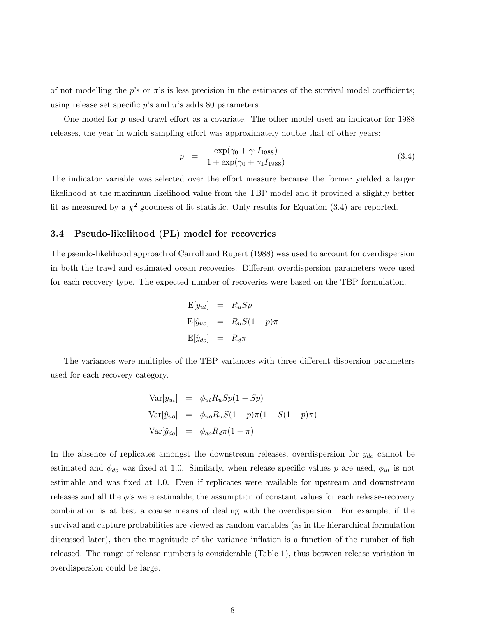of not modelling the p's or  $\pi$ 's is less precision in the estimates of the survival model coefficients; using release set specific  $p$ 's and  $\pi$ 's adds 80 parameters.

One model for  $p$  used trawl effort as a covariate. The other model used an indicator for 1988 releases, the year in which sampling effort was approximately double that of other years:

$$
p = \frac{\exp(\gamma_0 + \gamma_1 I_{1988})}{1 + \exp(\gamma_0 + \gamma_1 I_{1988})}
$$
\n(3.4)

The indicator variable was selected over the effort measure because the former yielded a larger likelihood at the maximum likelihood value from the TBP model and it provided a slightly better fit as measured by a  $\chi^2$  goodness of fit statistic. Only results for Equation (3.4) are reported.

### 3.4 Pseudo-likelihood (PL) model for recoveries

The pseudo-likelihood approach of Carroll and Rupert (1988) was used to account for overdispersion in both the trawl and estimated ocean recoveries. Different overdispersion parameters were used for each recovery type. The expected number of recoveries were based on the TBP formulation.

$$
E[y_{ut}] = R_u Sp
$$
  
\n
$$
E[\hat{y}_{uo}] = R_u S (1 - p) \pi
$$
  
\n
$$
E[\hat{y}_{do}] = R_d \pi
$$

The variances were multiples of the TBP variances with three different dispersion parameters used for each recovery category.

$$
\begin{aligned}\n\text{Var}[y_{ut}] &= \phi_{ut} R_u S p (1 - S p) \\
\text{Var}[\hat{y}_{uo}] &= \phi_{uo} R_u S (1 - p) \pi (1 - S (1 - p) \pi) \\
\text{Var}[\hat{y}_{do}] &= \phi_{do} R_d \pi (1 - \pi)\n\end{aligned}
$$

In the absence of replicates amongst the downstream releases, overdispersion for  $y_{do}$  cannot be estimated and  $\phi_{do}$  was fixed at 1.0. Similarly, when release specific values p are used,  $\phi_{ut}$  is not estimable and was fixed at 1.0. Even if replicates were available for upstream and downstream releases and all the  $\phi$ 's were estimable, the assumption of constant values for each release-recovery combination is at best a coarse means of dealing with the overdispersion. For example, if the survival and capture probabilities are viewed as random variables (as in the hierarchical formulation discussed later), then the magnitude of the variance inflation is a function of the number of fish released. The range of release numbers is considerable (Table 1), thus between release variation in overdispersion could be large.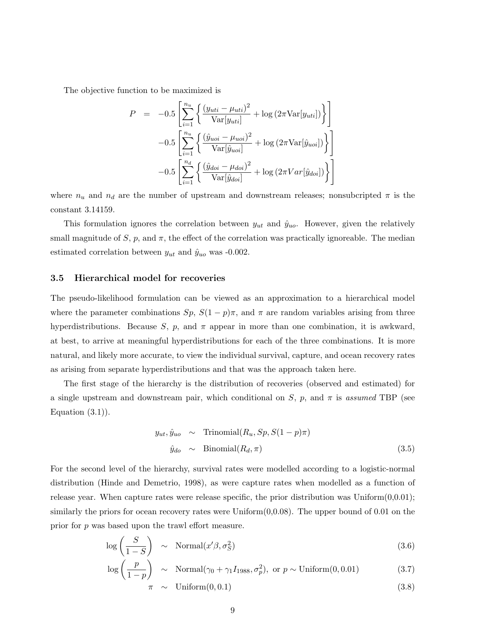The objective function to be maximized is

$$
P = -0.5 \left[ \sum_{i=1}^{n_u} \left\{ \frac{(y_{uti} - \mu_{uti})^2}{\text{Var}[y_{uti}]} + \log (2\pi \text{Var}[y_{uti}]) \right\} \right]
$$

$$
-0.5 \left[ \sum_{i=1}^{n_u} \left\{ \frac{(\hat{y}_{uoi} - \mu_{uoi})^2}{\text{Var}[\hat{y}_{uoi}]} + \log (2\pi \text{Var}[\hat{y}_{uoi}]) \right\} \right]
$$

$$
-0.5 \left[ \sum_{i=1}^{n_d} \left\{ \frac{(\hat{y}_{doi} - \mu_{doi})^2}{\text{Var}[\hat{y}_{doi}]} + \log (2\pi \text{Var}[\hat{y}_{doi}]) \right\} \right]
$$

where  $n_u$  and  $n_d$  are the number of upstream and downstream releases; nonsubcripted  $\pi$  is the constant 3.14159.

This formulation ignores the correlation between  $y_{ut}$  and  $\hat{y}_{uo}$ . However, given the relatively small magnitude of S, p, and  $\pi$ , the effect of the correlation was practically ignoreable. The median estimated correlation between  $y_{ut}$  and  $\hat{y}_{uo}$  was -0.002.

### 3.5 Hierarchical model for recoveries

The pseudo-likelihood formulation can be viewed as an approximation to a hierarchical model where the parameter combinations  $Sp$ ,  $S(1-p)\pi$ , and  $\pi$  are random variables arising from three hyperdistributions. Because S, p, and  $\pi$  appear in more than one combination, it is awkward, at best, to arrive at meaningful hyperdistributions for each of the three combinations. It is more natural, and likely more accurate, to view the individual survival, capture, and ocean recovery rates as arising from separate hyperdistributions and that was the approach taken here.

The first stage of the hierarchy is the distribution of recoveries (observed and estimated) for a single upstream and downstream pair, which conditional on S, p, and  $\pi$  is assumed TBP (see Equation  $(3.1)$ .

$$
y_{ut}, \hat{y}_{uo} \sim \text{Trinomial}(R_u, Sp, S(1-p)\pi)
$$
  

$$
\hat{y}_{do} \sim \text{Binomial}(R_d, \pi)
$$
 (3.5)

For the second level of the hierarchy, survival rates were modelled according to a logistic-normal distribution (Hinde and Demetrio, 1998), as were capture rates when modelled as a function of release year. When capture rates were release specific, the prior distribution was Uniform $(0,0.01)$ ; similarly the priors for ocean recovery rates were  $Uniform(0,0.08)$ . The upper bound of 0.01 on the prior for p was based upon the trawl effort measure.

$$
\log\left(\frac{S}{1-S}\right) \sim \text{Normal}(x'\beta, \sigma_S^2) \tag{3.6}
$$

$$
\log\left(\frac{p}{1-p}\right) \sim \text{Normal}(\gamma_0 + \gamma_1 I_{1988}, \sigma_p^2), \text{ or } p \sim \text{Uniform}(0, 0.01) \tag{3.7}
$$

$$
\pi \sim \text{Uniform}(0, 0.1) \tag{3.8}
$$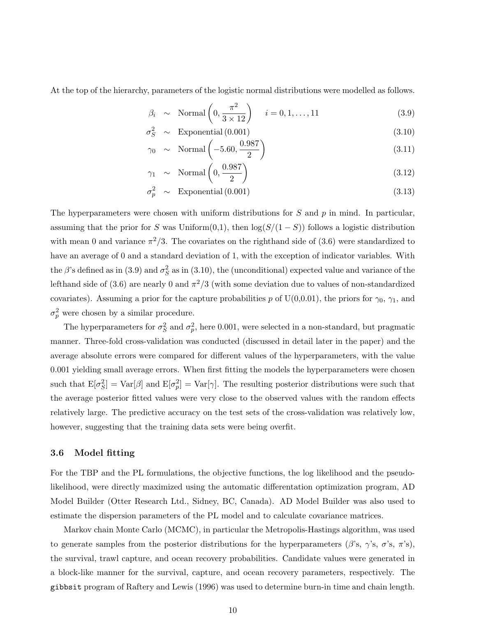At the top of the hierarchy, parameters of the logistic normal distributions were modelled as follows.

$$
\beta_i \sim \text{Normal}\left(0, \frac{\pi^2}{3 \times 12}\right) \quad i = 0, 1, \dots, 11 \tag{3.9}
$$

 $\sigma_S^2 \sim \text{Exponential } (0.001)$  (3.10)

$$
\gamma_0 \sim \text{Normal}\left(-5.60, \frac{0.987}{2}\right) \tag{3.11}
$$

$$
\gamma_1 \sim \text{Normal}\left(0, \frac{0.987}{2}\right) \tag{3.12}
$$

$$
\sigma_p^2 \sim \text{Exponential } (0.001) \tag{3.13}
$$

The hyperparameters were chosen with uniform distributions for S and  $p$  in mind. In particular, assuming that the prior for S was Uniform $(0,1)$ , then  $\log(S/(1-S))$  follows a logistic distribution with mean 0 and variance  $\pi^2/3$ . The covariates on the righthand side of (3.6) were standardized to have an average of 0 and a standard deviation of 1, with the exception of indicator variables. With the  $\beta$ 's defined as in (3.9) and  $\sigma_S^2$  as in (3.10), the (unconditional) expected value and variance of the lefthand side of (3.6) are nearly 0 and  $\pi^2/3$  (with some deviation due to values of non-standardized covariates). Assuming a prior for the capture probabilities p of U(0,0.01), the priors for  $\gamma_0$ ,  $\gamma_1$ , and  $\sigma_p^2$  were chosen by a similar procedure.

The hyperparameters for  $\sigma_S^2$  and  $\sigma_p^2$ , here 0.001, were selected in a non-standard, but pragmatic manner. Three-fold cross-validation was conducted (discussed in detail later in the paper) and the average absolute errors were compared for different values of the hyperparameters, with the value 0.001 yielding small average errors. When first fitting the models the hyperparameters were chosen such that  $E[\sigma_S^2] = Var[\beta]$  and  $E[\sigma_p^2] = Var[\gamma]$ . The resulting posterior distributions were such that the average posterior fitted values were very close to the observed values with the random effects relatively large. The predictive accuracy on the test sets of the cross-validation was relatively low, however, suggesting that the training data sets were being overfit.

### 3.6 Model fitting

For the TBP and the PL formulations, the objective functions, the log likelihood and the pseudolikelihood, were directly maximized using the automatic differentation optimization program, AD Model Builder (Otter Research Ltd., Sidney, BC, Canada). AD Model Builder was also used to estimate the dispersion parameters of the PL model and to calculate covariance matrices.

Markov chain Monte Carlo (MCMC), in particular the Metropolis-Hastings algorithm, was used to generate samples from the posterior distributions for the hyperparameters ( $\beta$ 's,  $\gamma$ 's,  $\sigma$ 's,  $\pi$ 's), the survival, trawl capture, and ocean recovery probabilities. Candidate values were generated in a block-like manner for the survival, capture, and ocean recovery parameters, respectively. The gibbsit program of Raftery and Lewis (1996) was used to determine burn-in time and chain length.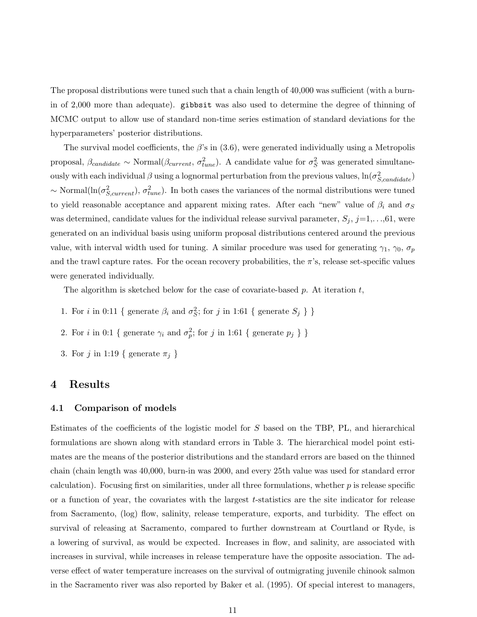The proposal distributions were tuned such that a chain length of 40,000 was sufficient (with a burnin of 2,000 more than adequate). gibbsit was also used to determine the degree of thinning of MCMC output to allow use of standard non-time series estimation of standard deviations for the hyperparameters' posterior distributions.

The survival model coefficients, the  $\beta$ 's in (3.6), were generated individually using a Metropolis proposal,  $\beta_{candidate} \sim \text{Normal}(\beta_{current}, \sigma_{tune}^2)$ . A candidate value for  $\sigma_S^2$  was generated simultaneously with each individual  $\beta$  using a lognormal perturbation from the previous values,  $\ln(\sigma_{S, candidate}^2)$  $\sim$  Normal $(\ln(\sigma_{S,current}^2), \sigma_{tune}^2)$ . In both cases the variances of the normal distributions were tuned to yield reasonable acceptance and apparent mixing rates. After each "new" value of  $\beta_i$  and  $\sigma_S$ was determined, candidate values for the individual release survival parameter,  $S_j$ ,  $j=1,\ldots,61$ , were generated on an individual basis using uniform proposal distributions centered around the previous value, with interval width used for tuning. A similar procedure was used for generating  $\gamma_1$ ,  $\gamma_0$ ,  $\sigma_p$ and the trawl capture rates. For the ocean recovery probabilities, the  $\pi$ 's, release set-specific values were generated individually.

The algorithm is sketched below for the case of covariate-based p. At iteration  $t$ ,

- 1. For *i* in 0:11 { generate  $\beta_i$  and  $\sigma_S^2$ ; for *j* in 1:61 { generate  $S_j$  } }
- 2. For *i* in 0:1 { generate  $\gamma_i$  and  $\sigma_p^2$ ; for *j* in 1:61 { generate  $p_j$  } }
- 3. For j in 1:19 { generate  $\pi_j$  }

### 4 Results

### 4.1 Comparison of models

Estimates of the coefficients of the logistic model for S based on the TBP, PL, and hierarchical formulations are shown along with standard errors in Table 3. The hierarchical model point estimates are the means of the posterior distributions and the standard errors are based on the thinned chain (chain length was 40,000, burn-in was 2000, and every 25th value was used for standard error calculation). Focusing first on similarities, under all three formulations, whether  $p$  is release specific or a function of year, the covariates with the largest t-statistics are the site indicator for release from Sacramento, (log) flow, salinity, release temperature, exports, and turbidity. The effect on survival of releasing at Sacramento, compared to further downstream at Courtland or Ryde, is a lowering of survival, as would be expected. Increases in flow, and salinity, are associated with increases in survival, while increases in release temperature have the opposite association. The adverse effect of water temperature increases on the survival of outmigrating juvenile chinook salmon in the Sacramento river was also reported by Baker et al. (1995). Of special interest to managers,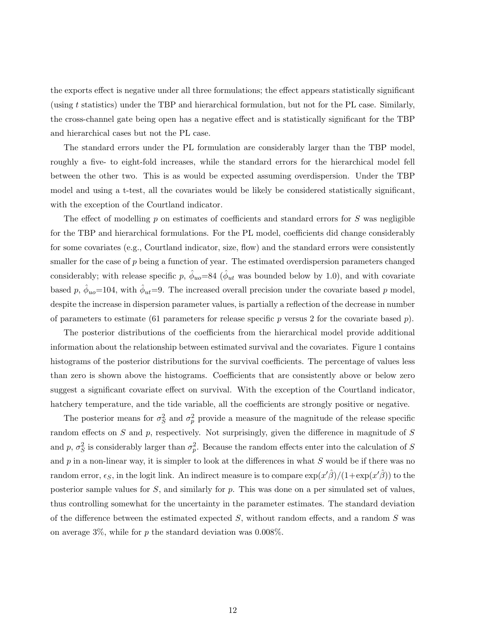the exports effect is negative under all three formulations; the effect appears statistically significant (using t statistics) under the TBP and hierarchical formulation, but not for the PL case. Similarly, the cross-channel gate being open has a negative effect and is statistically significant for the TBP and hierarchical cases but not the PL case.

The standard errors under the PL formulation are considerably larger than the TBP model, roughly a five- to eight-fold increases, while the standard errors for the hierarchical model fell between the other two. This is as would be expected assuming overdispersion. Under the TBP model and using a t-test, all the covariates would be likely be considered statistically significant, with the exception of the Courtland indicator.

The effect of modelling  $p$  on estimates of coefficients and standard errors for  $S$  was negligible for the TBP and hierarchical formulations. For the PL model, coefficients did change considerably for some covariates (e.g., Courtland indicator, size, flow) and the standard errors were consistently smaller for the case of  $p$  being a function of year. The estimated overdispersion parameters changed considerably; with release specific p,  $\hat{\phi}_{uo} = 84$  ( $\hat{\phi}_{ut}$  was bounded below by 1.0), and with covariate based p,  $\hat{\phi}_{uo} = 104$ , with  $\hat{\phi}_{ut} = 9$ . The increased overall precision under the covariate based p model, despite the increase in dispersion parameter values, is partially a reflection of the decrease in number of parameters to estimate (61 parameters for release specific p versus 2 for the covariate based p).

The posterior distributions of the coefficients from the hierarchical model provide additional information about the relationship between estimated survival and the covariates. Figure 1 contains histograms of the posterior distributions for the survival coefficients. The percentage of values less than zero is shown above the histograms. Coefficients that are consistently above or below zero suggest a significant covariate effect on survival. With the exception of the Courtland indicator, hatchery temperature, and the tide variable, all the coefficients are strongly positive or negative.

The posterior means for  $\sigma_S^2$  and  $\sigma_p^2$  provide a measure of the magnitude of the release specific random effects on  $S$  and  $p$ , respectively. Not surprisingly, given the difference in magnitude of  $S$ and p,  $\sigma_S^2$  is considerably larger than  $\sigma_p^2$ . Because the random effects enter into the calculation of S and  $p$  in a non-linear way, it is simpler to look at the differences in what  $S$  would be if there was no random error,  $\epsilon_S$ , in the logit link. An indirect measure is to compare  $\exp(x'\hat{\beta})/(1+\exp(x'\hat{\beta}))$  to the posterior sample values for  $S$ , and similarly for  $p$ . This was done on a per simulated set of values, thus controlling somewhat for the uncertainty in the parameter estimates. The standard deviation of the difference between the estimated expected  $S$ , without random effects, and a random  $S$  was on average  $3\%$ , while for p the standard deviation was 0.008%.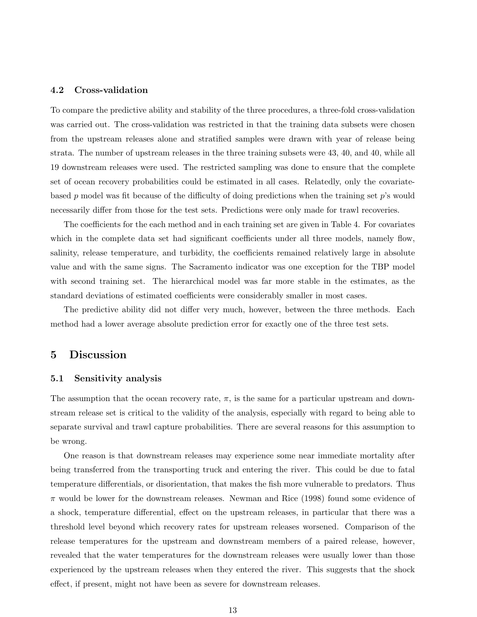### 4.2 Cross-validation

To compare the predictive ability and stability of the three procedures, a three-fold cross-validation was carried out. The cross-validation was restricted in that the training data subsets were chosen from the upstream releases alone and stratified samples were drawn with year of release being strata. The number of upstream releases in the three training subsets were 43, 40, and 40, while all 19 downstream releases were used. The restricted sampling was done to ensure that the complete set of ocean recovery probabilities could be estimated in all cases. Relatedly, only the covariatebased p model was fit because of the difficulty of doing predictions when the training set  $p$ 's would necessarily differ from those for the test sets. Predictions were only made for trawl recoveries.

The coefficients for the each method and in each training set are given in Table 4. For covariates which in the complete data set had significant coefficients under all three models, namely flow, salinity, release temperature, and turbidity, the coefficients remained relatively large in absolute value and with the same signs. The Sacramento indicator was one exception for the TBP model with second training set. The hierarchical model was far more stable in the estimates, as the standard deviations of estimated coefficients were considerably smaller in most cases.

The predictive ability did not differ very much, however, between the three methods. Each method had a lower average absolute prediction error for exactly one of the three test sets.

### 5 Discussion

### 5.1 Sensitivity analysis

The assumption that the ocean recovery rate,  $\pi$ , is the same for a particular upstream and downstream release set is critical to the validity of the analysis, especially with regard to being able to separate survival and trawl capture probabilities. There are several reasons for this assumption to be wrong.

One reason is that downstream releases may experience some near immediate mortality after being transferred from the transporting truck and entering the river. This could be due to fatal temperature differentials, or disorientation, that makes the fish more vulnerable to predators. Thus  $\pi$  would be lower for the downstream releases. Newman and Rice (1998) found some evidence of a shock, temperature differential, effect on the upstream releases, in particular that there was a threshold level beyond which recovery rates for upstream releases worsened. Comparison of the release temperatures for the upstream and downstream members of a paired release, however, revealed that the water temperatures for the downstream releases were usually lower than those experienced by the upstream releases when they entered the river. This suggests that the shock effect, if present, might not have been as severe for downstream releases.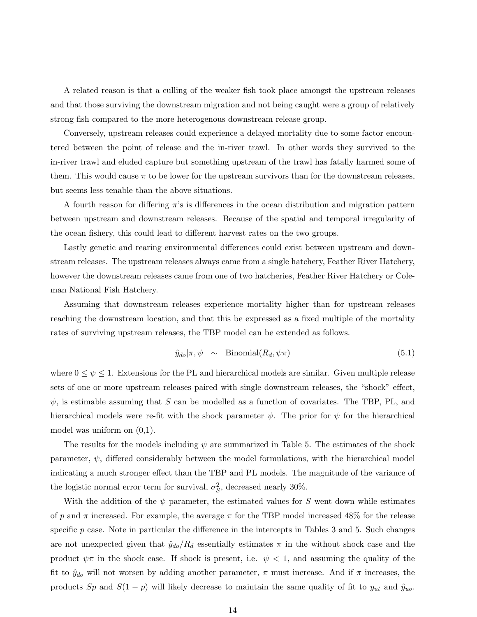A related reason is that a culling of the weaker fish took place amongst the upstream releases and that those surviving the downstream migration and not being caught were a group of relatively strong fish compared to the more heterogenous downstream release group.

Conversely, upstream releases could experience a delayed mortality due to some factor encountered between the point of release and the in-river trawl. In other words they survived to the in-river trawl and eluded capture but something upstream of the trawl has fatally harmed some of them. This would cause  $\pi$  to be lower for the upstream survivors than for the downstream releases, but seems less tenable than the above situations.

A fourth reason for differing  $\pi$ 's is differences in the ocean distribution and migration pattern between upstream and downstream releases. Because of the spatial and temporal irregularity of the ocean fishery, this could lead to different harvest rates on the two groups.

Lastly genetic and rearing environmental differences could exist between upstream and downstream releases. The upstream releases always came from a single hatchery, Feather River Hatchery, however the downstream releases came from one of two hatcheries, Feather River Hatchery or Coleman National Fish Hatchery.

Assuming that downstream releases experience mortality higher than for upstream releases reaching the downstream location, and that this be expressed as a fixed multiple of the mortality rates of surviving upstream releases, the TBP model can be extended as follows.

$$
\hat{y}_{do}|\pi, \psi \sim \text{Binomial}(R_d, \psi\pi) \tag{5.1}
$$

where  $0 \leq \psi \leq 1$ . Extensions for the PL and hierarchical models are similar. Given multiple release sets of one or more upstream releases paired with single downstream releases, the "shock" effect,  $\psi$ , is estimable assuming that S can be modelled as a function of covariates. The TBP, PL, and hierarchical models were re-fit with the shock parameter  $\psi$ . The prior for  $\psi$  for the hierarchical model was uniform on (0,1).

The results for the models including  $\psi$  are summarized in Table 5. The estimates of the shock parameter,  $\psi$ , differed considerably between the model formulations, with the hierarchical model indicating a much stronger effect than the TBP and PL models. The magnitude of the variance of the logistic normal error term for survival,  $\sigma_S^2$ , decreased nearly 30%.

With the addition of the  $\psi$  parameter, the estimated values for S went down while estimates of p and  $\pi$  increased. For example, the average  $\pi$  for the TBP model increased 48% for the release specific  $p$  case. Note in particular the difference in the intercepts in Tables 3 and 5. Such changes are not unexpected given that  $\hat{y}_{do}/R_d$  essentially estimates  $\pi$  in the without shock case and the product  $\psi\pi$  in the shock case. If shock is present, i.e.  $\psi$  < 1, and assuming the quality of the fit to  $\hat{y}_{do}$  will not worsen by adding another parameter,  $\pi$  must increase. And if  $\pi$  increases, the products Sp and  $S(1 - p)$  will likely decrease to maintain the same quality of fit to  $y_{ut}$  and  $\hat{y}_{uo}$ .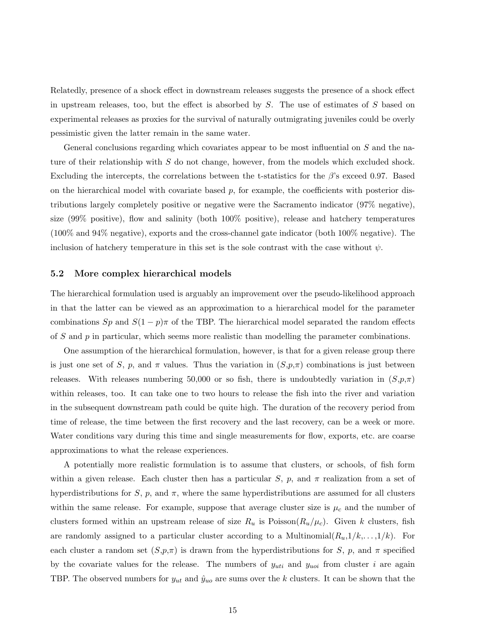Relatedly, presence of a shock effect in downstream releases suggests the presence of a shock effect in upstream releases, too, but the effect is absorbed by  $S$ . The use of estimates of  $S$  based on experimental releases as proxies for the survival of naturally outmigrating juveniles could be overly pessimistic given the latter remain in the same water.

General conclusions regarding which covariates appear to be most influential on S and the nature of their relationship with S do not change, however, from the models which excluded shock. Excluding the intercepts, the correlations between the t-statistics for the  $\beta$ 's exceed 0.97. Based on the hierarchical model with covariate based  $p$ , for example, the coefficients with posterior distributions largely completely positive or negative were the Sacramento indicator (97% negative), size (99% positive), flow and salinity (both 100% positive), release and hatchery temperatures (100% and 94% negative), exports and the cross-channel gate indicator (both 100% negative). The inclusion of hatchery temperature in this set is the sole contrast with the case without  $\psi$ .

### 5.2 More complex hierarchical models

The hierarchical formulation used is arguably an improvement over the pseudo-likelihood approach in that the latter can be viewed as an approximation to a hierarchical model for the parameter combinations Sp and  $S(1-p)\pi$  of the TBP. The hierarchical model separated the random effects of S and  $p$  in particular, which seems more realistic than modelling the parameter combinations.

One assumption of the hierarchical formulation, however, is that for a given release group there is just one set of S, p, and  $\pi$  values. Thus the variation in  $(S, p, \pi)$  combinations is just between releases. With releases numbering 50,000 or so fish, there is undoubtedly variation in  $(S, p, \pi)$ within releases, too. It can take one to two hours to release the fish into the river and variation in the subsequent downstream path could be quite high. The duration of the recovery period from time of release, the time between the first recovery and the last recovery, can be a week or more. Water conditions vary during this time and single measurements for flow, exports, etc. are coarse approximations to what the release experiences.

A potentially more realistic formulation is to assume that clusters, or schools, of fish form within a given release. Each cluster then has a particular S, p, and  $\pi$  realization from a set of hyperdistributions for S, p, and  $\pi$ , where the same hyperdistributions are assumed for all clusters within the same release. For example, suppose that average cluster size is  $\mu_c$  and the number of clusters formed within an upstream release of size  $R_u$  is  $Poisson(R_u/\mu_c)$ . Given k clusters, fish are randomly assigned to a particular cluster according to a Multinomial $(R_u,1/k,\ldots,1/k)$ . For each cluster a random set  $(S, p, \pi)$  is drawn from the hyperdistributions for S, p, and  $\pi$  specified by the covariate values for the release. The numbers of  $y_{uti}$  and  $y_{uoi}$  from cluster i are again TBP. The observed numbers for  $y_{ut}$  and  $\hat{y}_{uo}$  are sums over the k clusters. It can be shown that the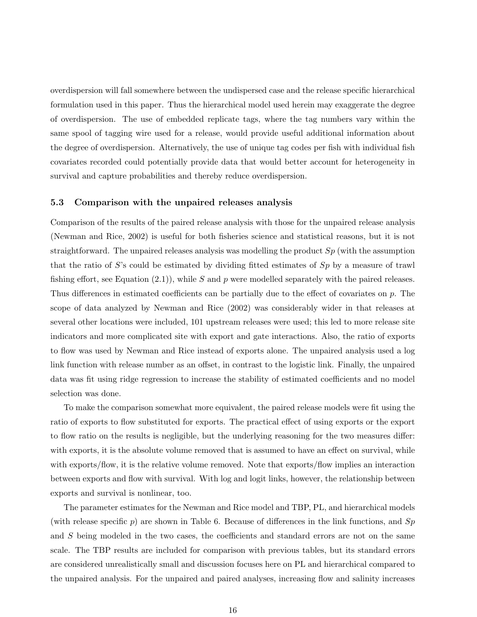overdispersion will fall somewhere between the undispersed case and the release specific hierarchical formulation used in this paper. Thus the hierarchical model used herein may exaggerate the degree of overdispersion. The use of embedded replicate tags, where the tag numbers vary within the same spool of tagging wire used for a release, would provide useful additional information about the degree of overdispersion. Alternatively, the use of unique tag codes per fish with individual fish covariates recorded could potentially provide data that would better account for heterogeneity in survival and capture probabilities and thereby reduce overdispersion.

### 5.3 Comparison with the unpaired releases analysis

Comparison of the results of the paired release analysis with those for the unpaired release analysis (Newman and Rice, 2002) is useful for both fisheries science and statistical reasons, but it is not straightforward. The unpaired releases analysis was modelling the product  $Sp$  (with the assumption that the ratio of S's could be estimated by dividing fitted estimates of  $Sp$  by a measure of trawl fishing effort, see Equation  $(2.1)$ , while S and p were modelled separately with the paired releases. Thus differences in estimated coefficients can be partially due to the effect of covariates on p. The scope of data analyzed by Newman and Rice (2002) was considerably wider in that releases at several other locations were included, 101 upstream releases were used; this led to more release site indicators and more complicated site with export and gate interactions. Also, the ratio of exports to flow was used by Newman and Rice instead of exports alone. The unpaired analysis used a log link function with release number as an offset, in contrast to the logistic link. Finally, the unpaired data was fit using ridge regression to increase the stability of estimated coefficients and no model selection was done.

To make the comparison somewhat more equivalent, the paired release models were fit using the ratio of exports to flow substituted for exports. The practical effect of using exports or the export to flow ratio on the results is negligible, but the underlying reasoning for the two measures differ: with exports, it is the absolute volume removed that is assumed to have an effect on survival, while with exports/flow, it is the relative volume removed. Note that exports/flow implies an interaction between exports and flow with survival. With log and logit links, however, the relationship between exports and survival is nonlinear, too.

The parameter estimates for the Newman and Rice model and TBP, PL, and hierarchical models (with release specific p) are shown in Table 6. Because of differences in the link functions, and  $Sp$ and S being modeled in the two cases, the coefficients and standard errors are not on the same scale. The TBP results are included for comparison with previous tables, but its standard errors are considered unrealistically small and discussion focuses here on PL and hierarchical compared to the unpaired analysis. For the unpaired and paired analyses, increasing flow and salinity increases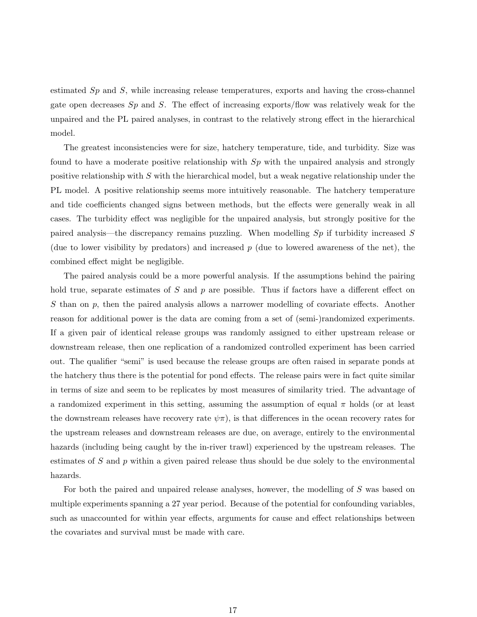estimated  $Sp$  and  $S$ , while increasing release temperatures, exports and having the cross-channel gate open decreases  $Sp$  and  $S$ . The effect of increasing exports/flow was relatively weak for the unpaired and the PL paired analyses, in contrast to the relatively strong effect in the hierarchical model.

The greatest inconsistencies were for size, hatchery temperature, tide, and turbidity. Size was found to have a moderate positive relationship with  $Sp$  with the unpaired analysis and strongly positive relationship with  $S$  with the hierarchical model, but a weak negative relationship under the PL model. A positive relationship seems more intuitively reasonable. The hatchery temperature and tide coefficients changed signs between methods, but the effects were generally weak in all cases. The turbidity effect was negligible for the unpaired analysis, but strongly positive for the paired analysis—the discrepancy remains puzzling. When modelling Sp if turbidity increased S (due to lower visibility by predators) and increased  $p$  (due to lowered awareness of the net), the combined effect might be negligible.

The paired analysis could be a more powerful analysis. If the assumptions behind the pairing hold true, separate estimates of S and  $p$  are possible. Thus if factors have a different effect on S than on  $p$ , then the paired analysis allows a narrower modelling of covariate effects. Another reason for additional power is the data are coming from a set of (semi-)randomized experiments. If a given pair of identical release groups was randomly assigned to either upstream release or downstream release, then one replication of a randomized controlled experiment has been carried out. The qualifier "semi" is used because the release groups are often raised in separate ponds at the hatchery thus there is the potential for pond effects. The release pairs were in fact quite similar in terms of size and seem to be replicates by most measures of similarity tried. The advantage of a randomized experiment in this setting, assuming the assumption of equal  $\pi$  holds (or at least the downstream releases have recovery rate  $\psi \pi$ , is that differences in the ocean recovery rates for the upstream releases and downstream releases are due, on average, entirely to the environmental hazards (including being caught by the in-river trawl) experienced by the upstream releases. The estimates of S and  $p$  within a given paired release thus should be due solely to the environmental hazards.

For both the paired and unpaired release analyses, however, the modelling of S was based on multiple experiments spanning a 27 year period. Because of the potential for confounding variables, such as unaccounted for within year effects, arguments for cause and effect relationships between the covariates and survival must be made with care.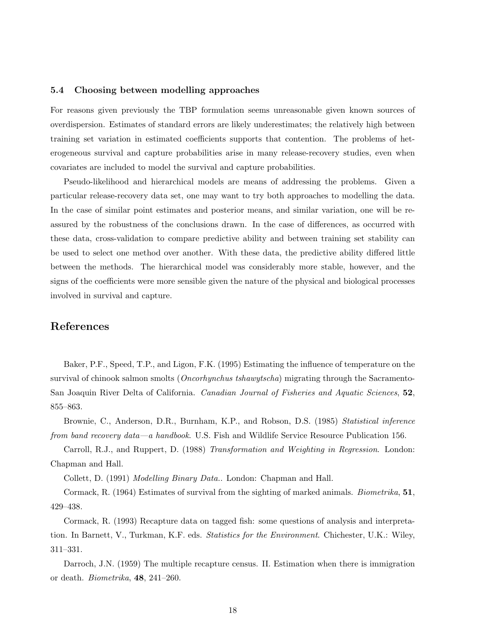### 5.4 Choosing between modelling approaches

For reasons given previously the TBP formulation seems unreasonable given known sources of overdispersion. Estimates of standard errors are likely underestimates; the relatively high between training set variation in estimated coefficients supports that contention. The problems of heterogeneous survival and capture probabilities arise in many release-recovery studies, even when covariates are included to model the survival and capture probabilities.

Pseudo-likelihood and hierarchical models are means of addressing the problems. Given a particular release-recovery data set, one may want to try both approaches to modelling the data. In the case of similar point estimates and posterior means, and similar variation, one will be reassured by the robustness of the conclusions drawn. In the case of differences, as occurred with these data, cross-validation to compare predictive ability and between training set stability can be used to select one method over another. With these data, the predictive ability differed little between the methods. The hierarchical model was considerably more stable, however, and the signs of the coefficients were more sensible given the nature of the physical and biological processes involved in survival and capture.

## References

Baker, P.F., Speed, T.P., and Ligon, F.K. (1995) Estimating the influence of temperature on the survival of chinook salmon smolts (*Oncorhynchus tshawytscha*) migrating through the Sacramento-San Joaquin River Delta of California. Canadian Journal of Fisheries and Aquatic Sciences, 52, 855–863.

Brownie, C., Anderson, D.R., Burnham, K.P., and Robson, D.S. (1985) Statistical inference from band recovery data—a handbook. U.S. Fish and Wildlife Service Resource Publication 156.

Carroll, R.J., and Ruppert, D. (1988) Transformation and Weighting in Regression. London: Chapman and Hall.

Collett, D. (1991) Modelling Binary Data.. London: Chapman and Hall.

Cormack, R. (1964) Estimates of survival from the sighting of marked animals. *Biometrika*, 51, 429–438.

Cormack, R. (1993) Recapture data on tagged fish: some questions of analysis and interpretation. In Barnett, V., Turkman, K.F. eds. *Statistics for the Environment*. Chichester, U.K.: Wiley, 311–331.

Darroch, J.N. (1959) The multiple recapture census. II. Estimation when there is immigration or death. Biometrika, 48, 241–260.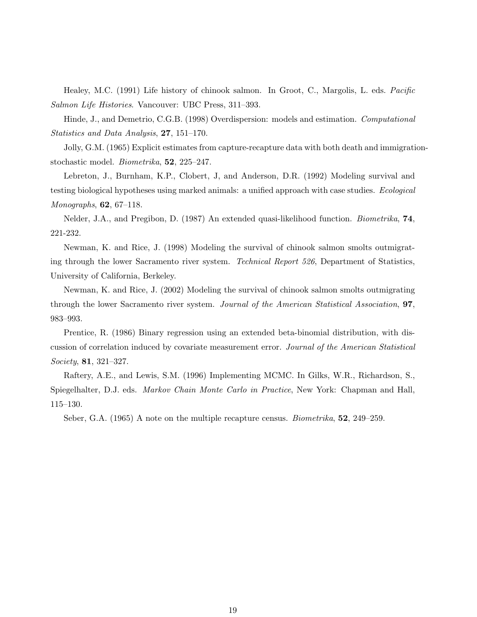Healey, M.C. (1991) Life history of chinook salmon. In Groot, C., Margolis, L. eds. Pacific Salmon Life Histories. Vancouver: UBC Press, 311–393.

Hinde, J., and Demetrio, C.G.B. (1998) Overdispersion: models and estimation. Computational Statistics and Data Analysis, 27, 151–170.

Jolly, G.M. (1965) Explicit estimates from capture-recapture data with both death and immigrationstochastic model. Biometrika, 52, 225–247.

Lebreton, J., Burnham, K.P., Clobert, J, and Anderson, D.R. (1992) Modeling survival and testing biological hypotheses using marked animals: a unified approach with case studies. Ecological Monographs, 62, 67–118.

Nelder, J.A., and Pregibon, D. (1987) An extended quasi-likelihood function. Biometrika, 74, 221-232.

Newman, K. and Rice, J. (1998) Modeling the survival of chinook salmon smolts outmigrating through the lower Sacramento river system. Technical Report 526, Department of Statistics, University of California, Berkeley.

Newman, K. and Rice, J. (2002) Modeling the survival of chinook salmon smolts outmigrating through the lower Sacramento river system. Journal of the American Statistical Association, 97, 983–993.

Prentice, R. (1986) Binary regression using an extended beta-binomial distribution, with discussion of correlation induced by covariate measurement error. Journal of the American Statistical Society, 81, 321–327.

Raftery, A.E., and Lewis, S.M. (1996) Implementing MCMC. In Gilks, W.R., Richardson, S., Spiegelhalter, D.J. eds. Markov Chain Monte Carlo in Practice, New York: Chapman and Hall, 115–130.

Seber, G.A. (1965) A note on the multiple recapture census. *Biometrika*, **52**, 249–259.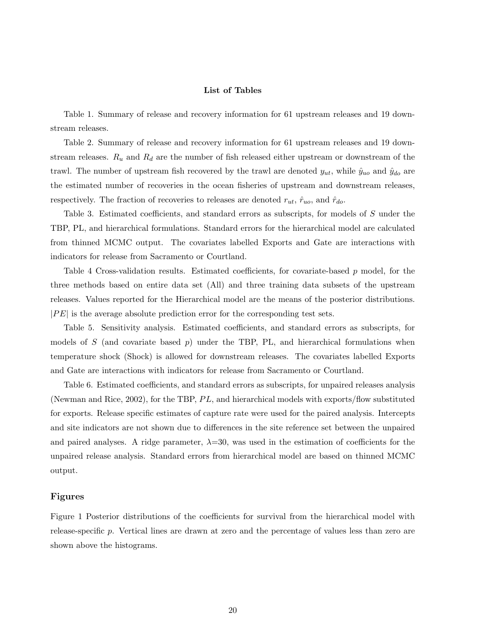### List of Tables

Table 1. Summary of release and recovery information for 61 upstream releases and 19 downstream releases.

Table 2. Summary of release and recovery information for 61 upstream releases and 19 downstream releases.  $R_u$  and  $R_d$  are the number of fish released either upstream or downstream of the trawl. The number of upstream fish recovered by the trawl are denoted  $y_{ut}$ , while  $\hat{y}_{uo}$  and  $\hat{y}_{do}$  are the estimated number of recoveries in the ocean fisheries of upstream and downstream releases, respectively. The fraction of recoveries to releases are denoted  $r_{ut}$ ,  $\hat{r}_{uo}$ , and  $\hat{r}_{do}$ .

Table 3. Estimated coefficients, and standard errors as subscripts, for models of S under the TBP, PL, and hierarchical formulations. Standard errors for the hierarchical model are calculated from thinned MCMC output. The covariates labelled Exports and Gate are interactions with indicators for release from Sacramento or Courtland.

Table 4 Cross-validation results. Estimated coefficients, for covariate-based p model, for the three methods based on entire data set (All) and three training data subsets of the upstream releases. Values reported for the Hierarchical model are the means of the posterior distributions.  $|PE|$  is the average absolute prediction error for the corresponding test sets.

Table 5. Sensitivity analysis. Estimated coefficients, and standard errors as subscripts, for models of S (and covariate based  $p$ ) under the TBP, PL, and hierarchical formulations when temperature shock (Shock) is allowed for downstream releases. The covariates labelled Exports and Gate are interactions with indicators for release from Sacramento or Courtland.

Table 6. Estimated coefficients, and standard errors as subscripts, for unpaired releases analysis (Newman and Rice, 2002), for the TBP,  $PL$ , and hierarchical models with exports/flow substituted for exports. Release specific estimates of capture rate were used for the paired analysis. Intercepts and site indicators are not shown due to differences in the site reference set between the unpaired and paired analyses. A ridge parameter,  $\lambda=30$ , was used in the estimation of coefficients for the unpaired release analysis. Standard errors from hierarchical model are based on thinned MCMC output.

### Figures

Figure 1 Posterior distributions of the coefficients for survival from the hierarchical model with release-specific p. Vertical lines are drawn at zero and the percentage of values less than zero are shown above the histograms.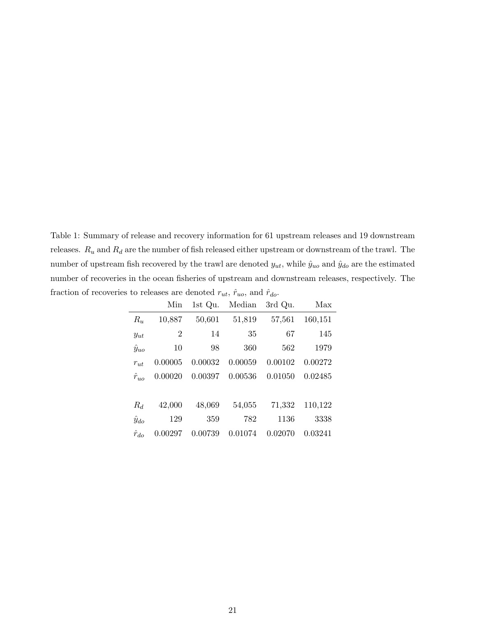Table 1: Summary of release and recovery information for 61 upstream releases and 19 downstream releases.  $R_u$  and  $R_d$  are the number of fish released either upstream or downstream of the trawl. The number of upstream fish recovered by the trawl are denoted  $y_{ut}$ , while  $\hat{y}_{uo}$  and  $\hat{y}_{do}$  are the estimated number of recoveries in the ocean fisheries of upstream and downstream releases, respectively. The fraction of recoveries to releases are denoted  $r_{ut},$   $\hat{r}_{uo},$  and  $\hat{r}_{do}.$ 

|                | Min            | 1st Qu. | Median  | 3rd Qu. | Max     |
|----------------|----------------|---------|---------|---------|---------|
| $R_u$          | 10,887         | 50,601  | 51,819  | 57,561  | 160,151 |
| $y_{ut}$       | $\overline{2}$ | 14      | 35      | 67      | 145     |
| $\hat{y}_{uo}$ | 10             | 98      | 360     | 562     | 1979    |
| $r_{ut}$       | 0.00005        | 0.00032 | 0.00059 | 0.00102 | 0.00272 |
| $\hat{r}_{uo}$ | 0.00020        | 0.00397 | 0.00536 | 0.01050 | 0.02485 |
|                |                |         |         |         |         |
| $R_d$          | 42,000         | 48,069  | 54,055  | 71,332  | 110,122 |
| $\hat{y}_{do}$ | 129            | 359     | 782     | 1136    | 3338    |
| $\hat{r}_{do}$ | 0.00297        | 0.00739 | 0.01074 | 0.02070 | 0.03241 |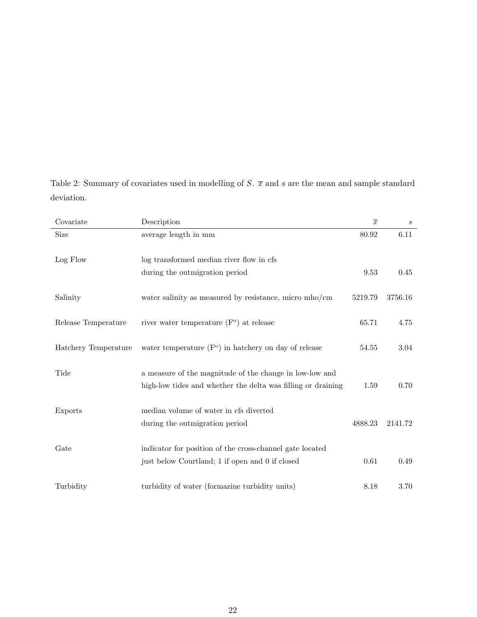Table 2: Summary of covariates used in modelling of  $S$ .  $\overline{x}$  and s are the mean and sample standard deviation.

| Covariate            | Description                                                  | $\overline{x}$ | $\boldsymbol{s}$ |
|----------------------|--------------------------------------------------------------|----------------|------------------|
| Size                 | average length in mm                                         | 80.92          | 6.11             |
| Log Flow             | log transformed median river flow in cfs                     |                |                  |
|                      | during the outmigration period                               | 9.53           | 0.45             |
| Salinity             | water salinity as measured by resistance, micro mho/cm       | 5219.79        | 3756.16          |
| Release Temperature  | river water temperature $(Fo)$ at release                    | 65.71          | 4.75             |
| Hatchery Temperature | water temperature $(Fo)$ in hatchery on day of release       | 54.55          | 3.04             |
| Tide                 | a measure of the magnitude of the change in low-low and      |                |                  |
|                      | high-low tides and whether the delta was filling or draining | 1.59           | 0.70             |
| Exports              | median volume of water in cfs diverted                       |                |                  |
|                      | during the outmigration period                               | 4888.23        | 2141.72          |
| Gate                 | indicator for position of the cross-channel gate located     |                |                  |
|                      | just below Courtland; 1 if open and 0 if closed              | 0.61           | 0.49             |
| Turbidity            | turbidity of water (formazine turbidity units)               | 8.18           | 3.70             |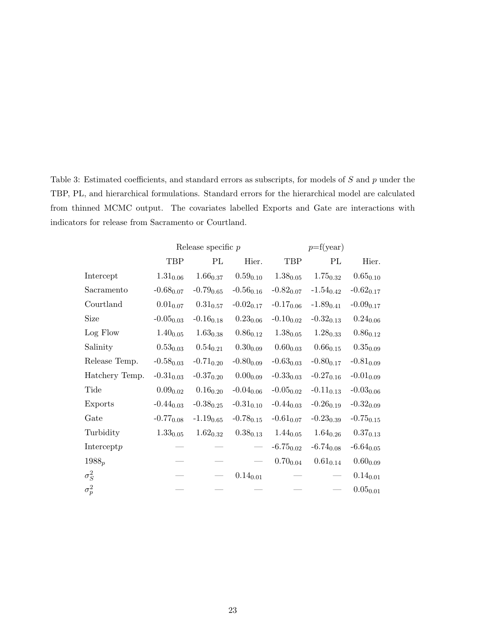Table 3: Estimated coefficients, and standard errors as subscripts, for models of S and p under the TBP, PL, and hierarchical formulations. Standard errors for the hierarchical model are calculated from thinned MCMC output. The covariates labelled Exports and Gate are interactions with indicators for release from Sacramento or Courtland.

|                |                            | Release specific $p$       |                            |                            | $p = f(year)$  |                            |  |  |
|----------------|----------------------------|----------------------------|----------------------------|----------------------------|----------------|----------------------------|--|--|
|                | <b>TBP</b>                 | PL                         | Hier.                      | TBP                        | PL             | Hier.                      |  |  |
| Intercept      | $1.31_{0.06}$              | $1.66_{0.37}$              | $0.59_{0.10}$              | $1.38_{0.05}$              | $1.75_{0.32}$  | $0.65_{\scriptstyle 0.10}$ |  |  |
| Sacramento     | $-0.68_{0.07}$             | $-0.79_{0.65}$             | $-0.56_{0.16}$             | $-0.82_{0.07}$             | $-1.54_{0.42}$ | $-0.62_{0.17}$             |  |  |
| Courtland      | $0.01_{0.07}$              | $0.31_{0.57}$              | $-0.02_{0.17}$             | $-0.17_{0.06}$             | $-1.89_{0.41}$ | $-0.09_{0.17}$             |  |  |
| Size           | $-0.05_{0.03}$             | $-0.16_{0.18}$             | $0.23_{0.06}$              | $-0.10_{0.02}$             | $-0.32_{0.13}$ | $0.24_{0.06}$              |  |  |
| Log Flow       | $1.40_{0.05}$              | $1.63_{0.38}$              | $0.86_{0.12}$              | $1.38_{0.05}$              | $1.28_{0.33}$  | $0.86_{0.12}$              |  |  |
| Salinity       | $0.53_{0.03}$              | $0.54_{0.21}$              | $0.30_{0.09}$              | $0.60_{\scriptstyle 0.03}$ | $0.66_{0.15}$  | $0.35_{0.09}$              |  |  |
| Release Temp.  | $-0.58_{0.03}$             | $-0.71_{0.20}$             | $-0.80_{0.09}$             | $-0.63_{0.03}$             | $-0.80_{0.17}$ | $-0.81_{0.09}$             |  |  |
| Hatchery Temp. | $-0.31_{0.03}$             | $-0.37_{0.20}$             | $0.00_{0.09}$              | $-0.33_{0.03}$             | $-0.27_{0.16}$ | $-0.01_{0.09}$             |  |  |
| Tide           | $0.09_{\scriptstyle 0.02}$ | $0.16_{\scriptstyle 0.20}$ | $-0.04_{0.06}$             | $-0.05_{0.02}$             | $-0.11_{0.13}$ | $-0.03_{0.06}$             |  |  |
| Exports        | $-0.44_{0.03}$             | $-0.38_{0.25}$             | $-0.31_{0.10}$             | $-0.44_{0.03}$             | $-0.26_{0.19}$ | $-0.32_{0.09}$             |  |  |
| Gate           | $-0.77_{0.08}$             | $-1.19_{0.65}$             | $-0.78_{0.15}$             | $-0.61_{0.07}$             | $-0.23_{0.39}$ | $-0.75_{0.15}$             |  |  |
| Turbidity      | $1.33_{0.05}$              | $1.62_{0.32}$              | $0.38_{\scriptstyle 0.13}$ | $1.44_{0.05}$              | $1.64_{0.26}$  | $0.37_{\scriptstyle 0.13}$ |  |  |
| Intercept $p$  |                            |                            |                            | $-6.75_{0.02}$             | $-6.74_{0.08}$ | $-6.64_{0.05}$             |  |  |
| $1988_p$       |                            |                            |                            | $0.70_{\scriptstyle 0.04}$ | $0.61_{0.14}$  | $0.60_{\scriptstyle 0.09}$ |  |  |
| $\sigma_S^2$   |                            |                            | $0.14_{0.01}$              |                            |                | $0.14_{0.01}$              |  |  |
| $\sigma_p^2$   |                            |                            |                            |                            |                | $0.05_{0.01}$              |  |  |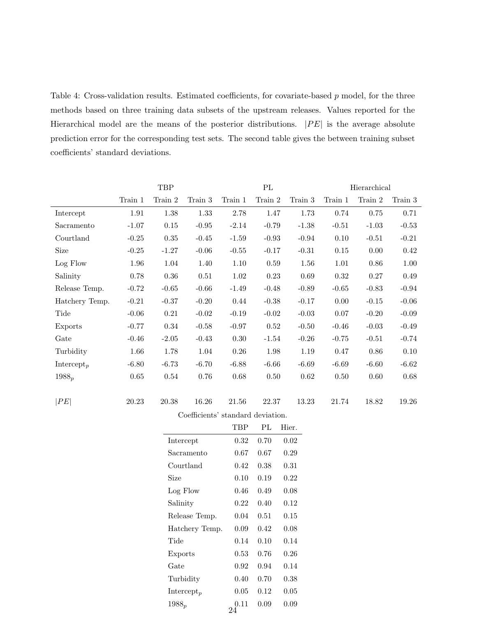Table 4: Cross-validation results. Estimated coefficients, for covariate-based p model, for the three methods based on three training data subsets of the upstream releases. Values reported for the Hierarchical model are the means of the posterior distributions.  $|PE|$  is the average absolute prediction error for the corresponding test sets. The second table gives the between training subset coefficients' standard deviations.

|                        | TBP       |             |                                   | $\mathcal{P}\mathcal{L}$ |             |         | Hierarchical |          |           |
|------------------------|-----------|-------------|-----------------------------------|--------------------------|-------------|---------|--------------|----------|-----------|
|                        | Train 1   | Train $2\,$ | Train 3                           | Train 1                  | Train $2\,$ | Train 3 | Train 1      | Train 2  | Train $3$ |
| Intercept              | 1.91      | $1.38\,$    | 1.33                              | $2.78\,$                 | 1.47        | 1.73    | 0.74         | 0.75     | 0.71      |
| Sacramento             | $-1.07$   | 0.15        | $-0.95$                           | $-2.14$                  | $-0.79$     | $-1.38$ | $-0.51$      | $-1.03$  | $-0.53$   |
| Courtland              | $-0.25$   | $0.35\,$    | $-0.45$                           | $-1.59$                  | $-0.93$     | $-0.94$ | $0.10\,$     | $-0.51$  | $-0.21$   |
| Size                   | $-0.25$   | $-1.27$     | $-0.06$                           | $-0.55$                  | $-0.17$     | $-0.31$ | 0.15         | 0.00     | $0.42\,$  |
| Log Flow               | 1.96      | 1.04        | 1.40                              | 1.10                     | $0.59\,$    | 1.56    | 1.01         | $0.86\,$ | 1.00      |
| Salinity               | 0.78      | $0.36\,$    | 0.51                              | $1.02\,$                 | 0.23        | 0.69    | 0.32         | 0.27     | 0.49      |
| Release Temp.          | $-0.72$   | $-0.65$     | $-0.66$                           | $-1.49$                  | $-0.48$     | $-0.89$ | $-0.65$      | $-0.83$  | $-0.94$   |
| Hatchery Temp.         | $-0.21$   | $-0.37$     | $-0.20$                           | 0.44                     | $-0.38$     | $-0.17$ | $0.00\,$     | $-0.15$  | $-0.06$   |
| Tide                   | $-0.06$   | 0.21        | $-0.02$                           | $-0.19$                  | $-0.02$     | $-0.03$ | 0.07         | $-0.20$  | $-0.09$   |
| Exports                | $-0.77$   | 0.34        | $-0.58$                           | $-0.97$                  | 0.52        | $-0.50$ | $-0.46$      | $-0.03$  | $-0.49$   |
| Gate                   | $-0.46$   | $-2.05$     | $-0.43$                           | 0.30                     | $-1.54$     | $-0.26$ | $-0.75$      | $-0.51$  | $-0.74$   |
| Turbidity              | 1.66      | 1.78        | 1.04                              | $0.26\,$                 | 1.98        | 1.19    | 0.47         | $0.86\,$ | $0.10\,$  |
| Intercept <sub>p</sub> | $-6.80$   | $-6.73$     | $-6.70$                           | $-6.88$                  | $-6.66$     | $-6.69$ | $-6.69$      | $-6.60$  | $-6.62$   |
| $1988_p$               | $0.65\,$  | 0.54        | 0.76                              | $0.68\,$                 | 0.50        | 0.62    | $0.50\,$     | $0.60\,$ | $0.68\,$  |
|                        |           |             |                                   |                          |             |         |              |          |           |
| PE                     | $20.23\,$ | $20.38\,$   | 16.26                             | 21.56                    | $22.37\,$   | 13.23   | 21.74        | 18.82    | 19.26     |
|                        |           |             | Coefficients' standard deviation. |                          |             |         |              |          |           |
|                        |           |             |                                   | TBP                      | PL          | Hier.   |              |          |           |

| 0.38                   | 16.26                             | 21.56      | 22.37 | 13    |
|------------------------|-----------------------------------|------------|-------|-------|
|                        | Coefficients' standard deviation. |            |       |       |
|                        |                                   | <b>TBP</b> | PL    | Hier. |
| Intercept              |                                   | 0.32       | 0.70  | 0.02  |
|                        | Sacramento                        | 0.67       | 0.67  | 0.29  |
| Courtland              |                                   | 0.42       | 0.38  | 0.31  |
| Size                   |                                   | 0.10       | 0.19  | 0.22  |
| Log Flow               |                                   | 0.46       | 0.49  | 0.08  |
| Salinity               |                                   | 0.22       | 0.40  | 0.12  |
|                        | Release Temp.                     | 0.04       | 0.51  | 0.15  |
|                        | Hatchery Temp.                    | 0.09       | 0.42  | 0.08  |
| Tide                   |                                   | 0.14       | 0.10  | 0.14  |
| <b>Exports</b>         |                                   | 0.53       | 0.76  | 0.26  |
| Gate                   |                                   | 0.92       | 0.94  | 0.14  |
| Turbidity              |                                   | 0.40       | 0.70  | 0.38  |
| Intercept <sub>p</sub> |                                   | 0.05       | 0.12  | 0.05  |
| $1988_p$               |                                   | 0.11<br>24 | 0.09  | 0.09  |
|                        |                                   |            |       |       |
|                        |                                   |            |       |       |
|                        |                                   |            |       |       |
|                        |                                   |            |       |       |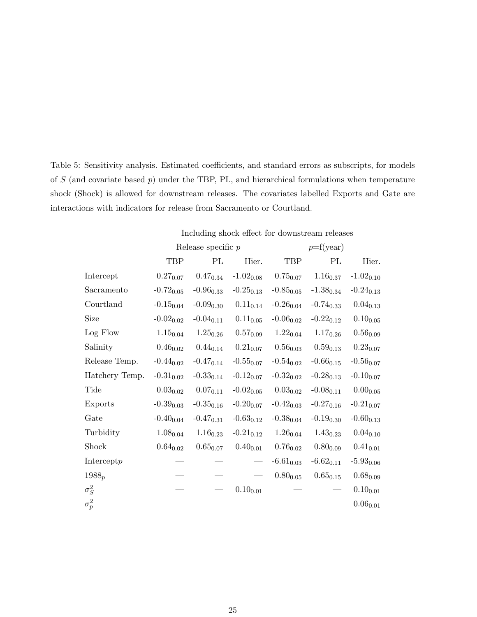Table 5: Sensitivity analysis. Estimated coefficients, and standard errors as subscripts, for models of  $S$  (and covariate based  $p$ ) under the TBP, PL, and hierarchical formulations when temperature shock (Shock) is allowed for downstream releases. The covariates labelled Exports and Gate are interactions with indicators for release from Sacramento or Courtland.

| Including shock effect for downstream releases |  |  |  |  |
|------------------------------------------------|--|--|--|--|
|------------------------------------------------|--|--|--|--|

|                |                | Release specific $p$       |                | $p = f(year)$              |                            |                            |  |
|----------------|----------------|----------------------------|----------------|----------------------------|----------------------------|----------------------------|--|
|                | <b>TBP</b>     | PL                         | Hier.          | TBP                        | PL                         | Hier.                      |  |
| Intercept      | $0.27_{0.07}$  | $0.47_{\scriptstyle 0.34}$ | $-1.02_{0.08}$ | $0.75_{0.07}$              | $1.16_{\scriptstyle 0.37}$ | $-1.02_{0.10}$             |  |
| Sacramento     | $-0.72_{0.05}$ | $-0.96_{0.33}$             | $-0.25_{0.13}$ | $-0.85_{0.05}$             | $-1.38_{0.34}$             | $-0.24_{0.13}$             |  |
| Courtland      | $-0.15_{0.04}$ | $-0.09_{0.30}$             | $0.11_{0.14}$  | $-0.26_{0.04}$             | $-0.74_{0.33}$             | $0.04_{\scriptstyle 0.13}$ |  |
| Size           | $-0.02_{0.02}$ | $-0.04_{0.11}$             | $0.11_{0.05}$  | $-0.06_{0.02}$             | $-0.22_{0.12}$             | $0.10_{0.05}$              |  |
| Log Flow       | $1.15_{0.04}$  | $1.25_{0.26}$              | $0.57_{0.09}$  | $1.22_{0.04}$              | $1.17_{0.26}$              | $0.56_{\scriptstyle 0.09}$ |  |
| Salinity       | $0.46_{0.02}$  | $0.44_{0.14}$              | $0.21_{0.07}$  | $0.56_{\scriptstyle 0.03}$ | $0.59_{0.13}$              | $0.23_{\scriptstyle 0.07}$ |  |
| Release Temp.  | $-0.44_{0.02}$ | $-0.47_{0.14}$             | $-0.55_{0.07}$ | $-0.54_{0.02}$             | $-0.66_{0.15}$             | $-0.56_{0.07}$             |  |
| Hatchery Temp. | $-0.31_{0.02}$ | $-0.33_{0.14}$             | $-0.12_{0.07}$ | $-0.32_{0.02}$             | $-0.28_{0.13}$             | $-0.10_{0.07}$             |  |
| Tide           | $0.03_{0.02}$  | $0.07_{0.11}$              | $-0.02_{0.05}$ | $0.03_{0.02}$              | $-0.08_{0.11}$             | $0.00_{0.05}$              |  |
| Exports        | $-0.39_{0.03}$ | $-0.35_{0.16}$             | $-0.20_{0.07}$ | $-0.42_{0.03}$             | $-0.27_{0.16}$             | $-0.21_{0.07}$             |  |
| Gate           | $-0.40_{0.04}$ | $-0.47_{0.31}$             | $-0.63_{0.12}$ | $-0.38_{0.04}$             | $-0.19_{0.30}$             | $-0.60_{0.13}$             |  |
| Turbidity      | $1.08_{0.04}$  | $1.16_{0.23}$              | $-0.21_{0.12}$ | $1.26_{0.04}$              | $1.43_{0.23}$              | $0.04_{0.10}$              |  |
| Shock          | $0.64_{0.02}$  | $0.65_{0.07}$              | $0.40_{0.01}$  | $0.76_{0.02}$              | $0.80_{0.09}$              | $0.41_{0.01}$              |  |
| Intercept $p$  |                |                            |                | $-6.61_{0.03}$             | $-6.62_{0.11}$             | $-5.93_{0.06}$             |  |
| $1988_p$       |                |                            |                | $0.80_{\scriptstyle 0.05}$ | $0.65_{\scriptstyle 0.15}$ | $0.68_{0.09}$              |  |
| $\sigma_S^2$   |                |                            | $0.10_{0.01}$  |                            |                            | $0.10_{\scriptstyle 0.01}$ |  |
| $\sigma_p^2$   |                |                            |                |                            |                            | $0.06_{\scriptstyle 0.01}$ |  |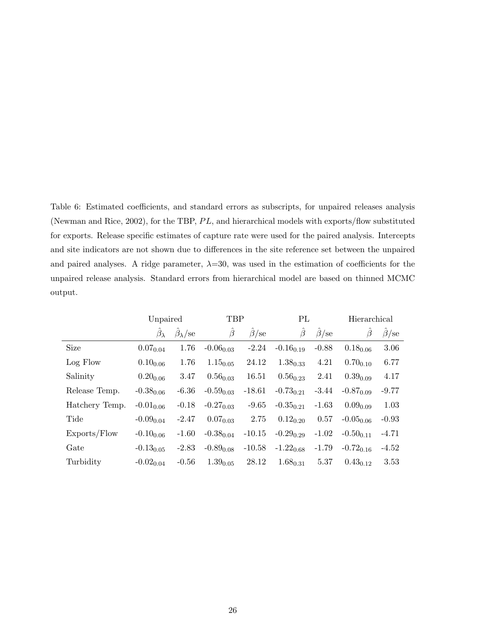Table 6: Estimated coefficients, and standard errors as subscripts, for unpaired releases analysis (Newman and Rice, 2002), for the TBP,  $PL$ , and hierarchical models with exports/flow substituted for exports. Release specific estimates of capture rate were used for the paired analysis. Intercepts and site indicators are not shown due to differences in the site reference set between the unpaired and paired analyses. A ridge parameter,  $\lambda = 30$ , was used in the estimation of coefficients for the unpaired release analysis. Standard errors from hierarchical model are based on thinned MCMC output.

|                | Unpaired          |                              | TBP            |             | PL             |                          | Hierarchical   |                          |
|----------------|-------------------|------------------------------|----------------|-------------|----------------|--------------------------|----------------|--------------------------|
|                | $\beta_{\lambda}$ | $\ddot{\beta}_{\lambda}$ /se | $\beta$        | $\beta$ /se | $\beta$        | $\ddot{\beta}/\text{se}$ | $\beta$        | $\ddot{\beta}/\text{se}$ |
| Size           | $0.07_{0.04}$     | 1.76                         | $-0.06_{0.03}$ | $-2.24$     | $-0.16_{0.19}$ | $-0.88$                  | $0.18_{0.06}$  | 3.06                     |
| Log Flow       | $0.10_{0.06}$     | 1.76                         | $1.15_{0.05}$  | 24.12       | $1.38_{0.33}$  | 4.21                     | $0.70_{0.10}$  | 6.77                     |
| Salinity       | $0.20_{0.06}$     | 3.47                         | $0.56_{0.03}$  | 16.51       | $0.56_{0.23}$  | 2.41                     | $0.39_{0.09}$  | 4.17                     |
| Release Temp.  | $-0.38_{0.06}$    | $-6.36$                      | $-0.59_{0.03}$ | $-18.61$    | $-0.73_{0.21}$ | $-3.44$                  | $-0.87_{0.09}$ | $-9.77$                  |
| Hatchery Temp. | $-0.01_{0.06}$    | $-0.18$                      | $-0.27_{0.03}$ | $-9.65$     | $-0.35_{0.21}$ | $-1.63$                  | $0.09_{0.09}$  | 1.03                     |
| Tide           | $-0.09_{0.04}$    | $-2.47$                      | $0.07_{0.03}$  | 2.75        | $0.12_{0.20}$  | 0.57                     | $-0.05_{0.06}$ | $-0.93$                  |
| Exports/Flow   | $-0.10_{0.06}$    | $-1.60$                      | $-0.38_{0.04}$ | $-10.15$    | $-0.29_{0.29}$ | $-1.02$                  | $-0.50_{0.11}$ | $-4.71$                  |
| Gate           | $-0.13_{0.05}$    | $-2.83$                      | $-0.89_{0.08}$ | $-10.58$    | $-1.22_{0.68}$ | $-1.79$                  | $-0.72_{0.16}$ | $-4.52$                  |
| Turbidity      | $-0.02_{0.04}$    | $-0.56$                      | $1.39_{0.05}$  | 28.12       | $1.68_{0.31}$  | 5.37                     | $0.43_{0.12}$  | 3.53                     |